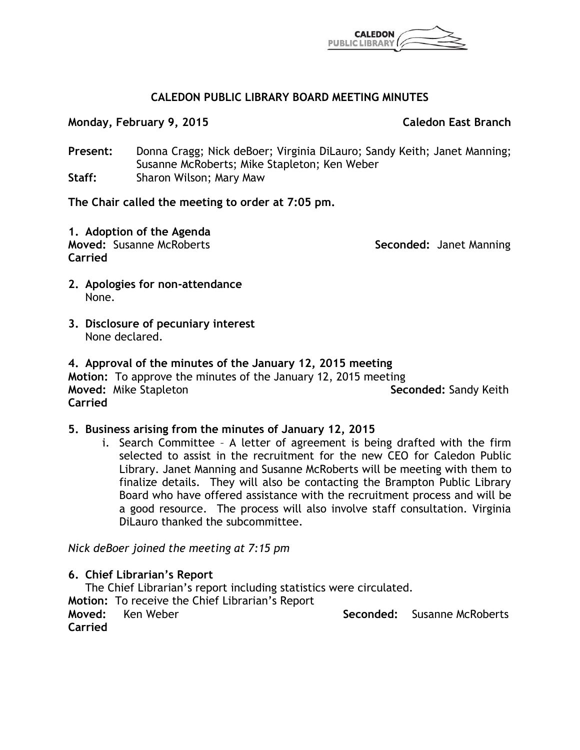

# **CALEDON PUBLIC LIBRARY BOARD MEETING MINUTES**

**Monday, February 9, 2015 Caledon East Branch**

**Present:** Donna Cragg; Nick deBoer; Virginia DiLauro; Sandy Keith; Janet Manning; Susanne McRoberts; Mike Stapleton; Ken Weber **Staff:** Sharon Wilson; Mary Maw

**The Chair called the meeting to order at 7:05 pm.**

**1. Adoption of the Agenda Moved:** Susanne McRoberts **Seconded:** Janet Manning **Carried**

- **2. Apologies for non-attendance** None.
- **3. Disclosure of pecuniary interest** None declared.

**4. Approval of the minutes of the January 12, 2015 meeting Motion:** To approve the minutes of the January 12, 2015 meeting **Moved:** Mike Stapleton **Seconded:** Sandy Keith

**Carried**

# **5. Business arising from the minutes of January 12, 2015**

i. Search Committee – A letter of agreement is being drafted with the firm selected to assist in the recruitment for the new CEO for Caledon Public Library. Janet Manning and Susanne McRoberts will be meeting with them to finalize details. They will also be contacting the Brampton Public Library Board who have offered assistance with the recruitment process and will be a good resource. The process will also involve staff consultation. Virginia DiLauro thanked the subcommittee.

*Nick deBoer joined the meeting at 7:15 pm*

**6. Chief Librarian's Report**

The Chief Librarian's report including statistics were circulated.

**Motion:** To receive the Chief Librarian's Report **Moved:** Ken Weber **Seconded: Susanne McRoberts** Susanne McRoberts **Carried**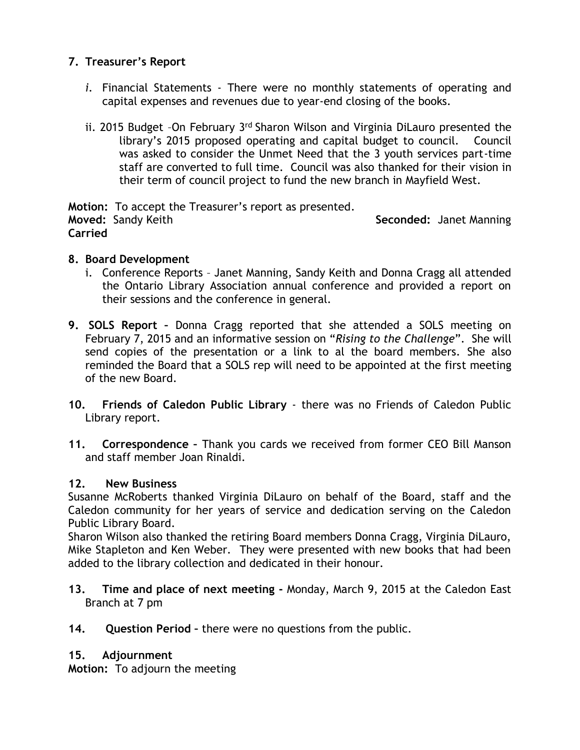# **7. Treasurer's Report**

- *i.* Financial Statements There were no monthly statements of operating and capital expenses and revenues due to year-end closing of the books.
- ii. 2015 Budget -On February 3rd Sharon Wilson and Virginia DiLauro presented the library's 2015 proposed operating and capital budget to council. Council was asked to consider the Unmet Need that the 3 youth services part-time staff are converted to full time. Council was also thanked for their vision in their term of council project to fund the new branch in Mayfield West.

**Motion:** To accept the Treasurer's report as presented. **Moved:** Sandy Keith **Seconded:** Janet Manning **Carried**

# **8. Board Development**

- i. Conference Reports Janet Manning, Sandy Keith and Donna Cragg all attended the Ontario Library Association annual conference and provided a report on their sessions and the conference in general.
- **9. SOLS Report –** Donna Cragg reported that she attended a SOLS meeting on February 7, 2015 and an informative session on "*Rising to the Challenge*". She will send copies of the presentation or a link to al the board members. She also reminded the Board that a SOLS rep will need to be appointed at the first meeting of the new Board.
- **10. Friends of Caledon Public Library** there was no Friends of Caledon Public Library report.
- **11. Correspondence –** Thank you cards we received from former CEO Bill Manson and staff member Joan Rinaldi.

# **12. New Business**

Susanne McRoberts thanked Virginia DiLauro on behalf of the Board, staff and the Caledon community for her years of service and dedication serving on the Caledon Public Library Board.

Sharon Wilson also thanked the retiring Board members Donna Cragg, Virginia DiLauro, Mike Stapleton and Ken Weber. They were presented with new books that had been added to the library collection and dedicated in their honour.

- **13. Time and place of next meeting -** Monday, March 9, 2015 at the Caledon East Branch at 7 pm
- **14. Question Period –** there were no questions from the public.

# **15. Adjournment**

**Motion:** To adjourn the meeting